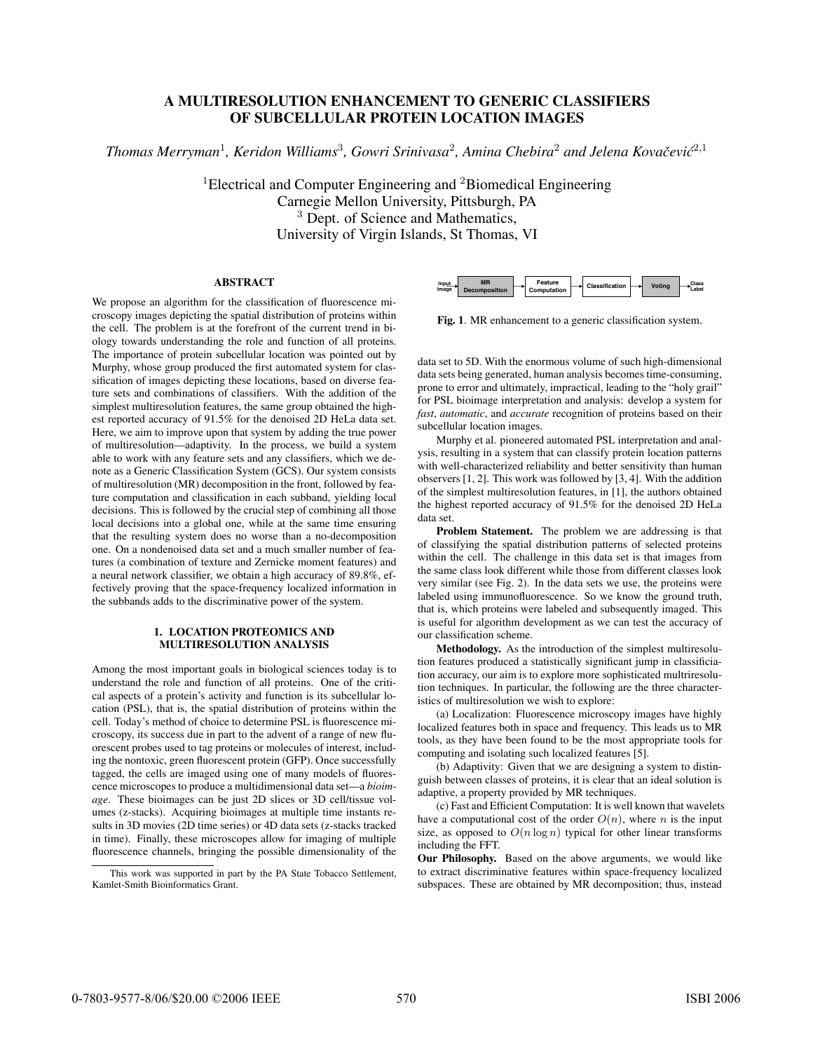# **A MULTIRESOLUTION ENHANCEMENT TO GENERIC CLASSIFIERS OF SUBCELLULAR PROTEIN LOCATION IMAGES**

*Thomas Merryman*<sup>1</sup>*, Keridon Williams*<sup>3</sup>*, Gowri Srinivasa*<sup>2</sup>*, Amina Chebira*<sup>2</sup> *and Jelena Kovacevi ˇ c´*<sup>2</sup>,<sup>1</sup>

<sup>1</sup>Electrical and Computer Engineering and  ${}^{2}$ Biomedical Engineering Carnegie Mellon University, Pittsburgh, PA <sup>3</sup> Dept. of Science and Mathematics, University of Virgin Islands, St Thomas, VI

## **ABSTRACT**

We propose an algorithm for the classification of fluorescence microscopy images depicting the spatial distribution of proteins within the cell. The problem is at the forefront of the current trend in biology towards understanding the role and function of all proteins. The importance of protein subcellular location was pointed out by Murphy, whose group produced the first automated system for classification of images depicting these locations, based on diverse feature sets and combinations of classifiers. With the addition of the simplest multiresolution features, the same group obtained the highest reported accuracy of 91.5% for the denoised 2D HeLa data set. Here, we aim to improve upon that system by adding the true power of multiresolution—adaptivity. In the process, we build a system able to work with any feature sets and any classifiers, which we denote as a Generic Classification System (GCS). Our system consists of multiresolution (MR) decomposition in the front, followed by feature computation and classification in each subband, yielding local decisions. This is followed by the crucial step of combining all those local decisions into a global one, while at the same time ensuring that the resulting system does no worse than a no-decomposition one. On a nondenoised data set and a much smaller number of features (a combination of texture and Zernicke moment features) and a neural network classifier, we obtain a high accuracy of 89.8%, effectively proving that the space-frequency localized information in the subbands adds to the discriminative power of the system.

### **1. LOCATION PROTEOMICS AND MULTIRESOLUTION ANALYSIS**

Among the most important goals in biological sciences today is to understand the role and function of all proteins. One of the critical aspects of a protein's activity and function is its subcellular location (PSL), that is, the spatial distribution of proteins within the cell. Today's method of choice to determine PSL is fluorescence microscopy, its success due in part to the advent of a range of new fluorescent probes used to tag proteins or molecules of interest, including the nontoxic, green fluorescent protein (GFP). Once successfully tagged, the cells are imaged using one of many models of fluorescence microscopes to produce a multidimensional data set—a *bioimage*. These bioimages can be just 2D slices or 3D cell/tissue volumes (z-stacks). Acquiring bioimages at multiple time instants results in 3D movies (2D time series) or 4D data sets (z-stacks tracked in time). Finally, these microscopes allow for imaging of multiple fluorescence channels, bringing the possible dimensionality of the



**Fig. 1**. MR enhancement to a generic classification system.

data set to 5D. With the enormous volume of such high-dimensional data sets being generated, human analysis becomes time-consuming, prone to error and ultimately, impractical, leading to the "holy grail" for PSL bioimage interpretation and analysis: develop a system for *fast*, *automatic*, and *accurate* recognition of proteins based on their subcellular location images.

Murphy et al. pioneered automated PSL interpretation and analysis, resulting in a system that can classify protein location patterns with well-characterized reliability and better sensitivity than human observers [1, 2]. This work was followed by [3, 4]. With the addition of the simplest multiresolution features, in [1], the authors obtained the highest reported accuracy of 91.5% for the denoised 2D HeLa data set.

**Problem Statement.** The problem we are addressing is that of classifying the spatial distribution patterns of selected proteins within the cell. The challenge in this data set is that images from the same class look different while those from different classes look very similar (see Fig. 2). In the data sets we use, the proteins were labeled using immunofluorescence. So we know the ground truth, that is, which proteins were labeled and subsequently imaged. This is useful for algorithm development as we can test the accuracy of our classification scheme.

**Methodology.** As the introduction of the simplest multiresolution features produced a statistically significant jump in classificiation accuracy, our aim is to explore more sophisticated multriresolution techniques. In particular, the following are the three characteristics of multiresolution we wish to explore:

(a) Localization: Fluorescence microscopy images have highly localized features both in space and frequency. This leads us to MR tools, as they have been found to be the most appropriate tools for computing and isolating such localized features [5].

(b) Adaptivity: Given that we are designing a system to distinguish between classes of proteins, it is clear that an ideal solution is adaptive, a property provided by MR techniques.

(c) Fast and Efficient Computation: It is well known that wavelets have a computational cost of the order  $O(n)$ , where n is the input size, as opposed to  $O(n \log n)$  typical for other linear transforms including the FFT.

**Our Philosophy.** Based on the above arguments, we would like to extract discriminative features within space-frequency localized subspaces. These are obtained by MR decomposition; thus, instead

This work was supported in part by the PA State Tobacco Settlement, Kamlet-Smith Bioinformatics Grant.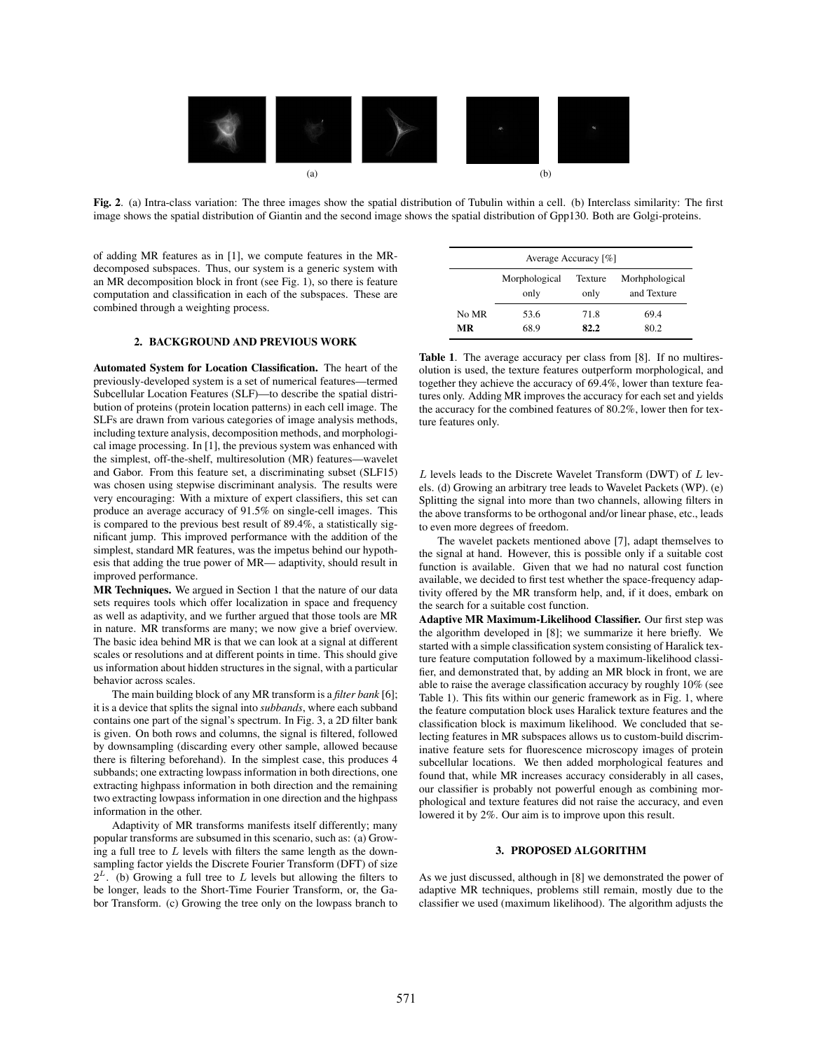

**Fig. 2**. (a) Intra-class variation: The three images show the spatial distribution of Tubulin within a cell. (b) Interclass similarity: The first image shows the spatial distribution of Giantin and the second image shows the spatial distribution of Gpp130. Both are Golgi-proteins.

of adding MR features as in [1], we compute features in the MRdecomposed subspaces. Thus, our system is a generic system with an MR decomposition block in front (see Fig. 1), so there is feature computation and classification in each of the subspaces. These are combined through a weighting process.

### **2. BACKGROUND AND PREVIOUS WORK**

**Automated System for Location Classification.** The heart of the previously-developed system is a set of numerical features—termed Subcellular Location Features (SLF)—to describe the spatial distribution of proteins (protein location patterns) in each cell image. The SLFs are drawn from various categories of image analysis methods, including texture analysis, decomposition methods, and morphological image processing. In [1], the previous system was enhanced with the simplest, off-the-shelf, multiresolution (MR) features—wavelet and Gabor. From this feature set, a discriminating subset (SLF15) was chosen using stepwise discriminant analysis. The results were very encouraging: With a mixture of expert classifiers, this set can produce an average accuracy of 91.5% on single-cell images. This is compared to the previous best result of 89.4%, a statistically significant jump. This improved performance with the addition of the simplest, standard MR features, was the impetus behind our hypothesis that adding the true power of MR— adaptivity, should result in improved performance.

**MR Techniques.** We argued in Section 1 that the nature of our data sets requires tools which offer localization in space and frequency as well as adaptivity, and we further argued that those tools are MR in nature. MR transforms are many; we now give a brief overview. The basic idea behind MR is that we can look at a signal at different scales or resolutions and at different points in time. This should give us information about hidden structures in the signal, with a particular behavior across scales.

The main building block of any MR transform is a *filter bank* [6]; it is a device that splits the signal into *subbands*, where each subband contains one part of the signal's spectrum. In Fig. 3, a 2D filter bank is given. On both rows and columns, the signal is filtered, followed by downsampling (discarding every other sample, allowed because there is filtering beforehand). In the simplest case, this produces 4 subbands; one extracting lowpass information in both directions, one extracting highpass information in both direction and the remaining two extracting lowpass information in one direction and the highpass information in the other.

Adaptivity of MR transforms manifests itself differently; many popular transforms are subsumed in this scenario, such as: (a) Growing a full tree to  $L$  levels with filters the same length as the downsampling factor yields the Discrete Fourier Transform (DFT) of size  $2^L$ . (b) Growing a full tree to L levels but allowing the filters to be longer, leads to the Short-Time Fourier Transform, or, the Gabor Transform. (c) Growing the tree only on the lowpass branch to

| Average Accuracy [%] |               |         |                |  |  |  |  |  |  |
|----------------------|---------------|---------|----------------|--|--|--|--|--|--|
|                      | Morphological | Texture | Morhphological |  |  |  |  |  |  |
|                      | only          | only    | and Texture    |  |  |  |  |  |  |
| No MR                | 53.6          | 71.8    | 69.4           |  |  |  |  |  |  |
| MR                   | 68.9          | 82.2    | 80.2           |  |  |  |  |  |  |

**Table 1**. The average accuracy per class from [8]. If no multiresolution is used, the texture features outperform morphological, and together they achieve the accuracy of 69.4%, lower than texture features only. Adding MR improves the accuracy for each set and yields the accuracy for the combined features of 80.2%, lower then for texture features only.

 $L$  levels leads to the Discrete Wavelet Transform (DWT) of  $L$  levels. (d) Growing an arbitrary tree leads to Wavelet Packets (WP). (e) Splitting the signal into more than two channels, allowing filters in the above transforms to be orthogonal and/or linear phase, etc., leads to even more degrees of freedom.

The wavelet packets mentioned above [7], adapt themselves to the signal at hand. However, this is possible only if a suitable cost function is available. Given that we had no natural cost function available, we decided to first test whether the space-frequency adaptivity offered by the MR transform help, and, if it does, embark on the search for a suitable cost function.

**Adaptive MR Maximum-Likelihood Classifier.** Our first step was the algorithm developed in [8]; we summarize it here briefly. We started with a simple classification system consisting of Haralick texture feature computation followed by a maximum-likelihood classifier, and demonstrated that, by adding an MR block in front, we are able to raise the average classification accuracy by roughly 10% (see Table 1). This fits within our generic framework as in Fig. 1, where the feature computation block uses Haralick texture features and the classification block is maximum likelihood. We concluded that selecting features in MR subspaces allows us to custom-build discriminative feature sets for fluorescence microscopy images of protein subcellular locations. We then added morphological features and found that, while MR increases accuracy considerably in all cases, our classifier is probably not powerful enough as combining morphological and texture features did not raise the accuracy, and even lowered it by 2%. Our aim is to improve upon this result.

#### **3. PROPOSED ALGORITHM**

As we just discussed, although in [8] we demonstrated the power of adaptive MR techniques, problems still remain, mostly due to the classifier we used (maximum likelihood). The algorithm adjusts the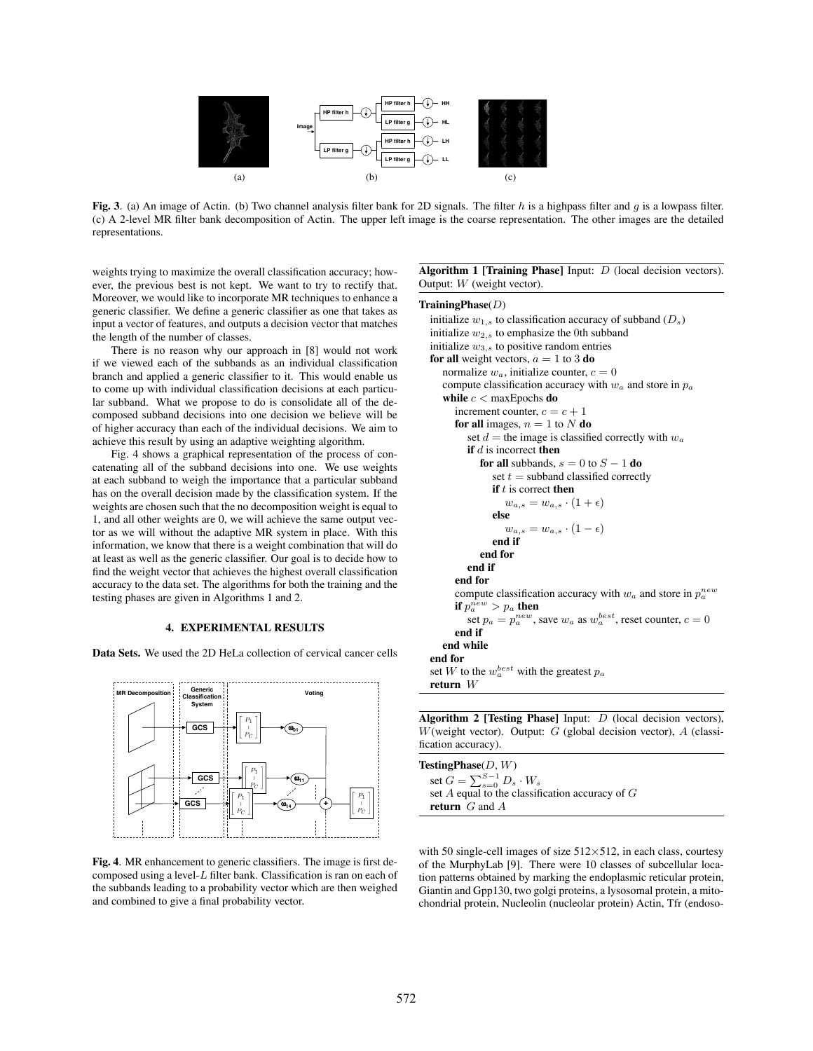

**Fig. 3**. (a) An image of Actin. (b) Two channel analysis filter bank for 2D signals. The filter h is a highpass filter and q is a lowpass filter. (c) A 2-level MR filter bank decomposition of Actin. The upper left image is the coarse representation. The other images are the detailed representations.

weights trying to maximize the overall classification accuracy; however, the previous best is not kept. We want to try to rectify that. Moreover, we would like to incorporate MR techniques to enhance a generic classifier. We define a generic classifier as one that takes as input a vector of features, and outputs a decision vector that matches the length of the number of classes.

There is no reason why our approach in [8] would not work if we viewed each of the subbands as an individual classification branch and applied a generic classifier to it. This would enable us to come up with individual classification decisions at each particular subband. What we propose to do is consolidate all of the decomposed subband decisions into one decision we believe will be of higher accuracy than each of the individual decisions. We aim to achieve this result by using an adaptive weighting algorithm.

Fig. 4 shows a graphical representation of the process of concatenating all of the subband decisions into one. We use weights at each subband to weigh the importance that a particular subband has on the overall decision made by the classification system. If the weights are chosen such that the no decomposition weight is equal to 1, and all other weights are 0, we will achieve the same output vector as we will without the adaptive MR system in place. With this information, we know that there is a weight combination that will do at least as well as the generic classifier. Our goal is to decide how to find the weight vector that achieves the highest overall classification accuracy to the data set. The algorithms for both the training and the testing phases are given in Algorithms 1 and 2.

## **4. EXPERIMENTAL RESULTS**

**Data Sets.** We used the 2D HeLa collection of cervical cancer cells



**Fig. 4**. MR enhancement to generic classifiers. The image is first decomposed using a level-L filter bank. Classification is ran on each of the subbands leading to a probability vector which are then weighed and combined to give a final probability vector.

**Algorithm 1 [Training Phase]** Input: D (local decision vectors). Output: W (weight vector).

# **TrainingPhase**(D)

```
initialize w_{1,s} to classification accuracy of subband (D_s)initialize w_{2,s} to emphasize the 0th subband
initialize w_{3,s} to positive random entries
for all weight vectors, a = 1 to 3 do
   normalize w_a, initialize counter, c = 0compute classification accuracy with w_a and store in p_awhile c < maxEpochs do
      increment counter, c = c + 1for all images, n = 1 to N do
         set d = the image is classified correctly with w_aif d is incorrect then
            for all subbands, s = 0 to S - 1 do
               set t = subband classified correctly
               if t is correct then
                  w_{a,s} = w_{a,s} \cdot (1+\epsilon)else
                  w_{a,s} = w_{a,s} \cdot (1-\epsilon)end if
            end for
         end if
      end for
      compute classification accuracy with w_a and store in p_a^{new}if p_a^{new} > p_a then
         set p_a = p_a^{new}, save w_a as w_a^{best}, reset counter, c = 0end if
   end while
end for
set W to the w_a^{best} with the greatest p_areturn W
```
**Algorithm 2 [Testing Phase]** Input: D (local decision vectors), W(weight vector). Output:  $G$  (global decision vector),  $A$  (classification accuracy).

**TestingPhase**(D, W) set  $G = \sum_{s=0}^{S-1} D_s \cdot W_s$ <br>set A equal to the classif set A equal to the classification accuracy of G **return** G and A

with 50 single-cell images of size  $512 \times 512$ , in each class, courtesy of the MurphyLab [9]. There were 10 classes of subcellular location patterns obtained by marking the endoplasmic reticular protein, Giantin and Gpp130, two golgi proteins, a lysosomal protein, a mitochondrial protein, Nucleolin (nucleolar protein) Actin, Tfr (endoso